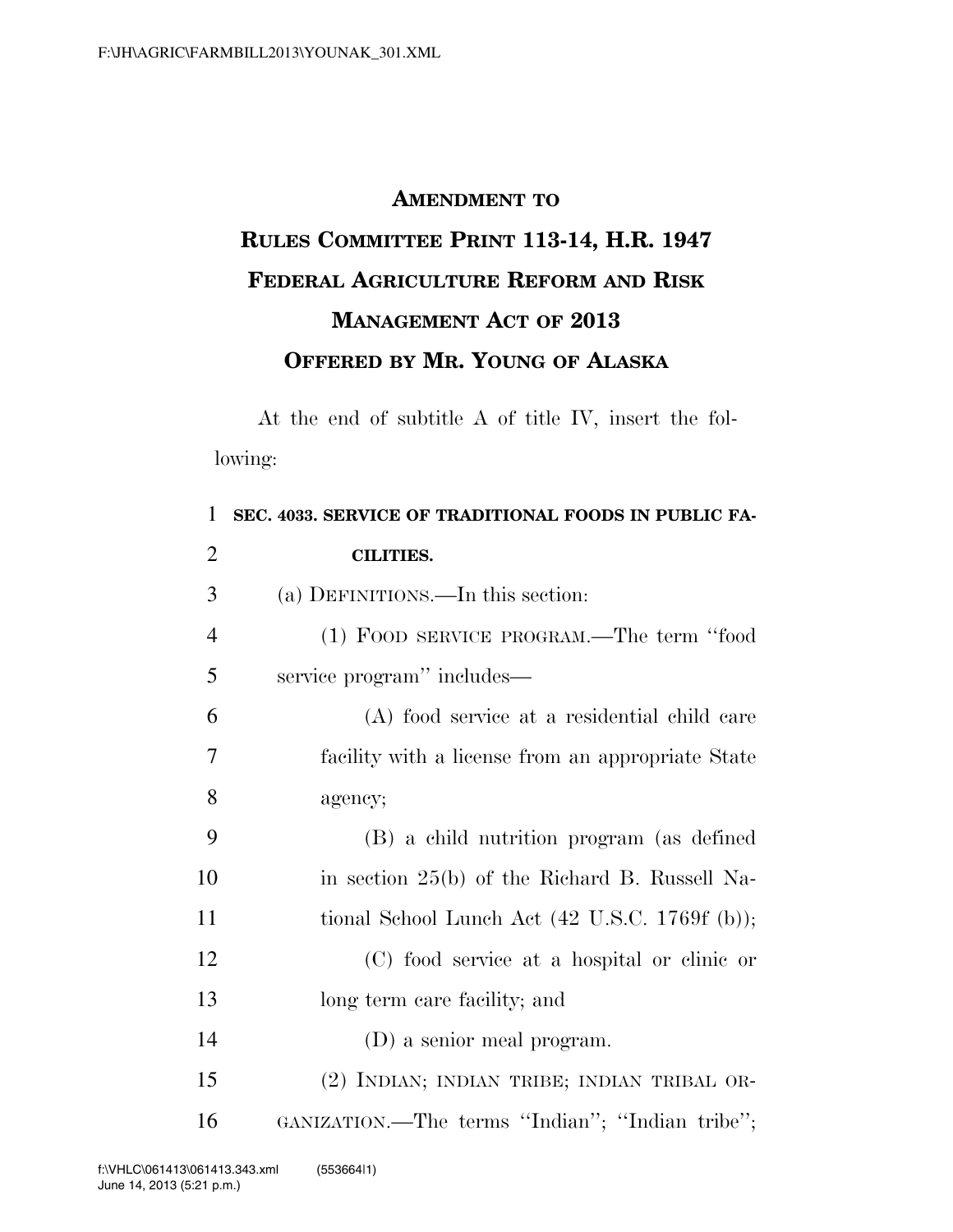## **AMENDMENT TO RULES COMMITTEE PRINT 113-14, H.R. 1947 FEDERAL AGRICULTURE REFORM AND RISK MANAGEMENT ACT OF 2013 OFFERED BY MR. YOUNG OF ALASKA**

At the end of subtitle A of title IV, insert the following:

| 1              | SEC. 4033. SERVICE OF TRADITIONAL FOODS IN PUBLIC FA-             |
|----------------|-------------------------------------------------------------------|
| $\overline{2}$ | <b>CILITIES.</b>                                                  |
| 3              | (a) DEFINITIONS.—In this section:                                 |
| $\overline{4}$ | (1) FOOD SERVICE PROGRAM.—The term "food                          |
| 5              | service program" includes—                                        |
| 6              | (A) food service at a residential child care                      |
| 7              | facility with a license from an appropriate State                 |
| 8              | agency;                                                           |
| 9              | (B) a child nutrition program (as defined                         |
| 10             | in section 25(b) of the Richard B. Russell Na-                    |
| 11             | tional School Lunch Act $(42 \text{ U.S.C. } 1769f \text{ (b)});$ |
| 12             | (C) food service at a hospital or clinic or                       |
| 13             | long term care facility; and                                      |
| 14             | (D) a senior meal program.                                        |
| 15             | (2) INDIAN; INDIAN TRIBE; INDIAN TRIBAL OR-                       |
| 16             | GANIZATION.—The terms "Indian"; "Indian tribe";                   |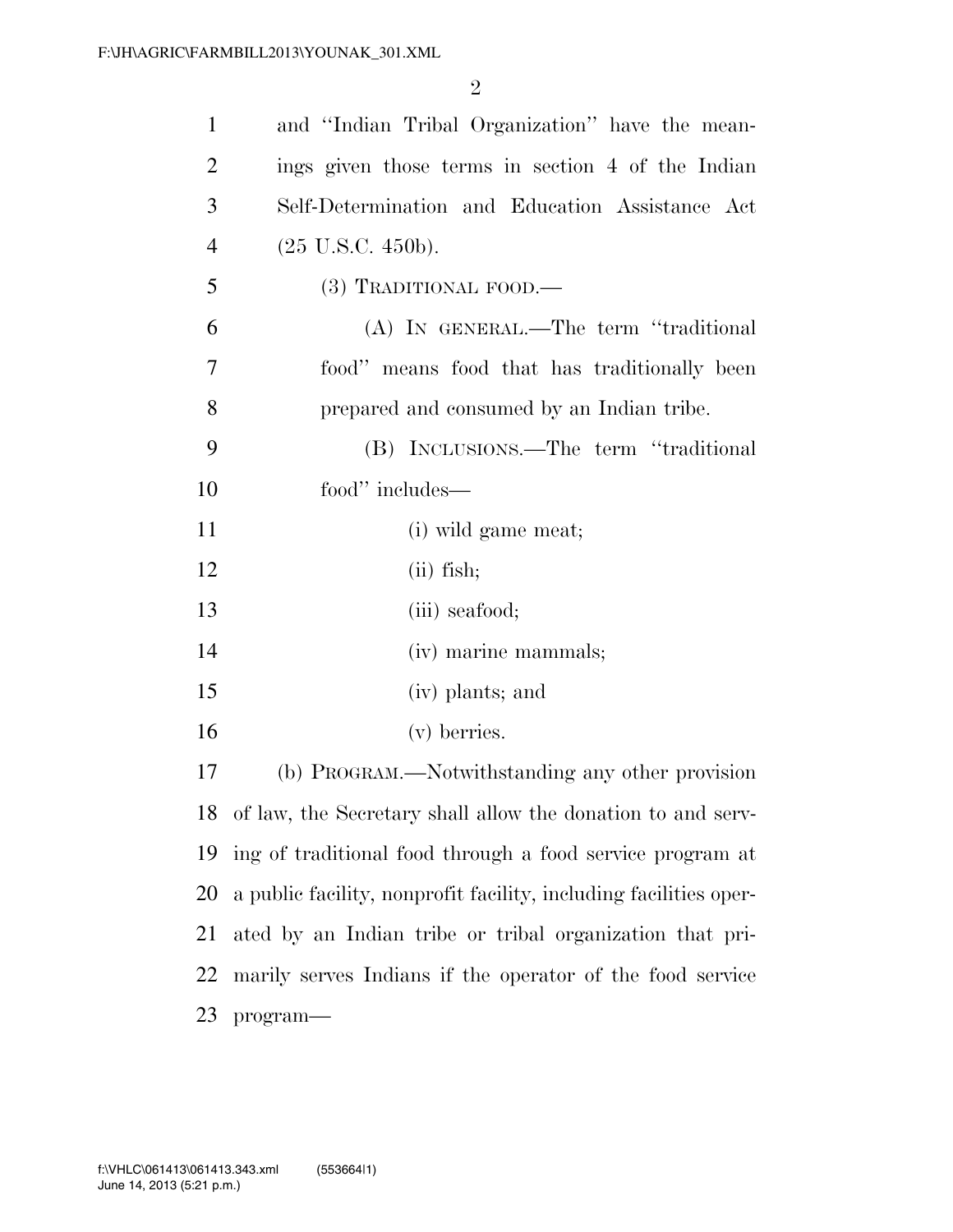| $\mathbf{1}$   | and "Indian Tribal Organization" have the mean-                   |
|----------------|-------------------------------------------------------------------|
| $\overline{2}$ | ings given those terms in section 4 of the Indian                 |
| 3              | Self-Determination and Education Assistance Act                   |
| $\overline{4}$ | $(25 \text{ U.S.C. } 450\text{b}).$                               |
| 5              | $(3)$ TRADITIONAL FOOD.—                                          |
| 6              | (A) IN GENERAL.—The term "traditional                             |
| 7              | food" means food that has traditionally been                      |
| 8              | prepared and consumed by an Indian tribe.                         |
| 9              | (B) INCLUSIONS.—The term "traditional                             |
| 10             | food" includes—                                                   |
| 11             | (i) wild game meat;                                               |
| 12             | $(ii)$ fish;                                                      |
| 13             | (iii) seafood;                                                    |
| 14             | (iv) marine mammals;                                              |
| 15             | (iv) plants; and                                                  |
| 16             | (v) berries.                                                      |
| 17             | (b) PROGRAM.—Notwithstanding any other provision                  |
|                | 18 of law, the Secretary shall allow the donation to and serv-    |
| 19             | ing of traditional food through a food service program at         |
| 20             | a public facility, nonprofit facility, including facilities oper- |
| 21             | ated by an Indian tribe or tribal organization that pri-          |
| 22             | marily serves Indians if the operator of the food service         |
| 23             | program-                                                          |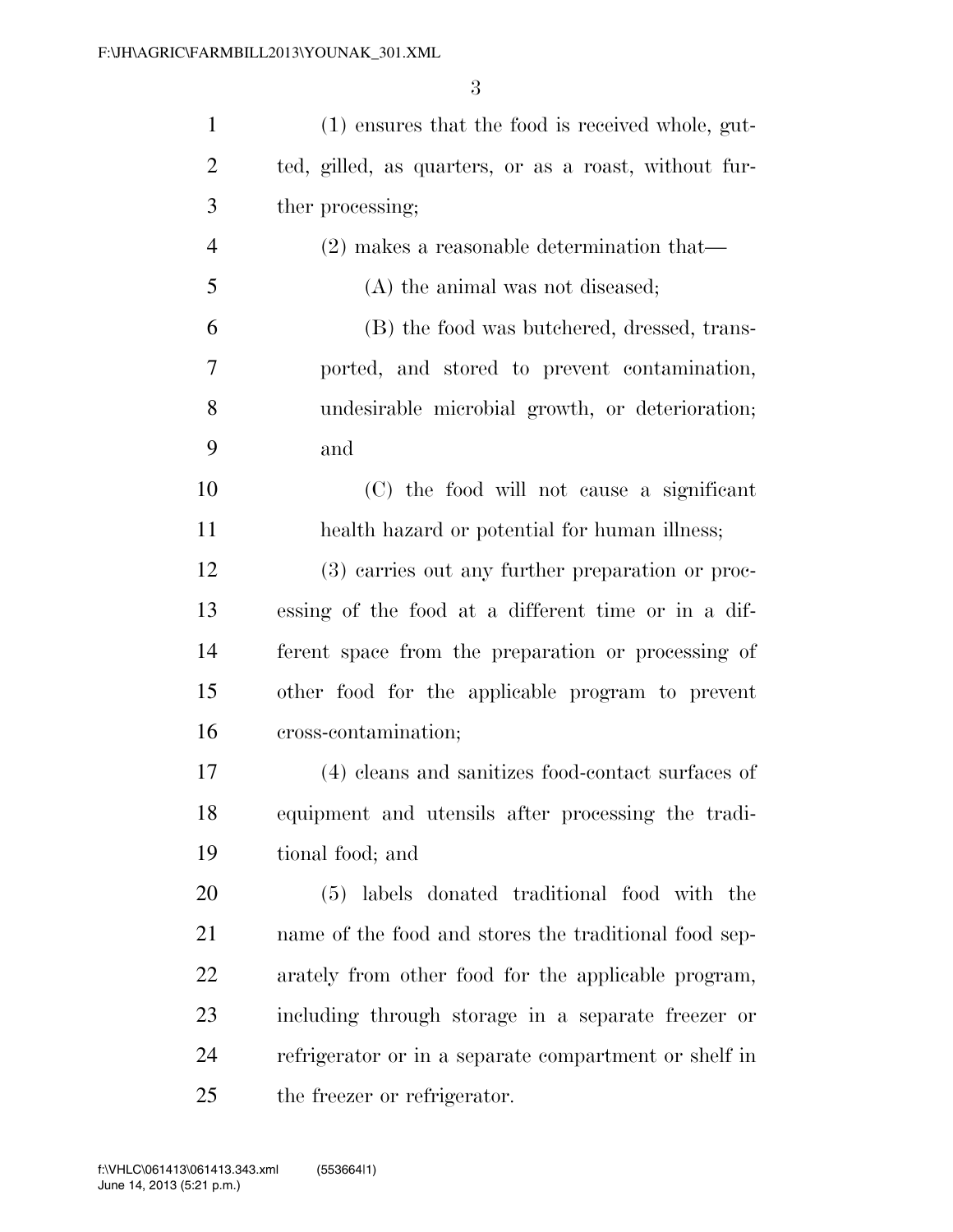| $\mathbf{1}$   | (1) ensures that the food is received whole, gut-     |
|----------------|-------------------------------------------------------|
| 2              | ted, gilled, as quarters, or as a roast, without fur- |
| 3              | ther processing;                                      |
| $\overline{4}$ | $(2)$ makes a reasonable determination that—          |
| 5              | (A) the animal was not diseased;                      |
| 6              | (B) the food was butchered, dressed, trans-           |
| 7              | ported, and stored to prevent contamination,          |
| 8              | undesirable microbial growth, or deterioration;       |
| 9              | and                                                   |
| 10             | (C) the food will not cause a significant             |
| 11             | health hazard or potential for human illness;         |
| 12             | (3) carries out any further preparation or proc-      |
| 13             | essing of the food at a different time or in a dif-   |
| 14             | ferent space from the preparation or processing of    |
| 15             | other food for the applicable program to prevent      |
| 16             | cross-contamination;                                  |
| 17             | (4) cleans and sanitizes food-contact surfaces of     |
| 18             | equipment and utensils after processing the tradi-    |
| 19             | tional food; and                                      |
| 20             | (5) labels donated traditional food with the          |
| 21             | name of the food and stores the traditional food sep- |
| 22             | arately from other food for the applicable program,   |
| 23             | including through storage in a separate freezer or    |
| 24             | refrigerator or in a separate compartment or shelf in |
| 25             | the freezer or refrigerator.                          |